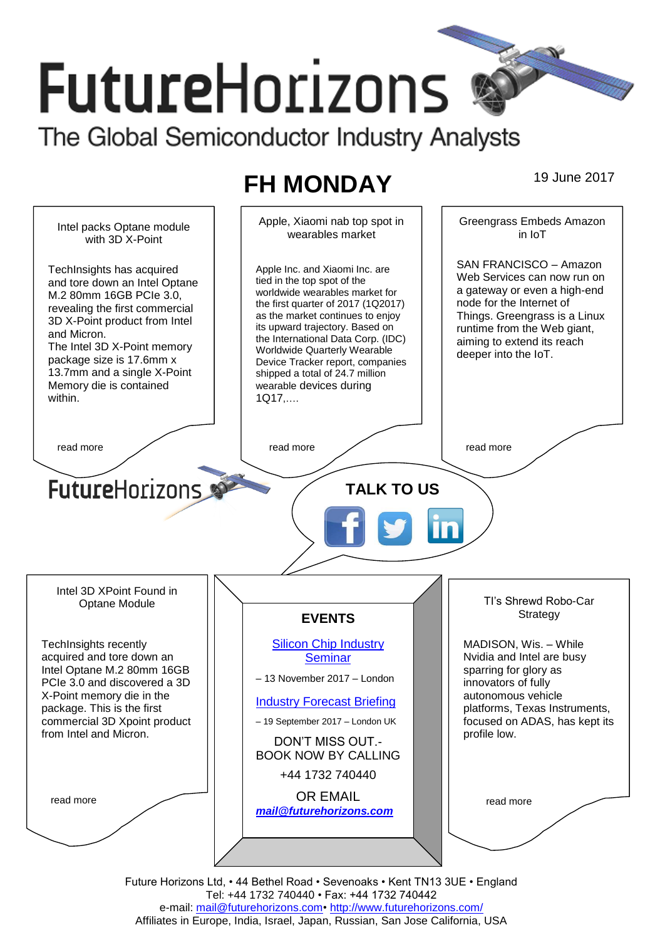# **FutureHorizons** The Global Semiconductor Industry Analysts

# **FH MONDAY** 19 June 2017

Greengrass Embeds Amazon Apple, Xiaomi nab top spot in Intel packs Optane module wearables market in IoT with 3D X-Point SAN FRANCISCO – Amazon TechInsights has acquired Apple Inc. and Xiaomi Inc. are Web Services can now run on tied in the top spot of the and tore down an Intel Optane a gateway or even a high-end worldwide wearables market for M.2 80mm 16GB PCIe 3.0, node for the Internet of the first quarter of 2017 (1Q2017) revealing the first commercial Things. Greengrass is a Linux as the market continues to enjoy 3D X-Point product from Intel its upward trajectory. Based on runtime from the Web giant, and Micron. the International Data Corp. (IDC) aiming to extend its reach The Intel 3D X-Point memory Worldwide Quarterly Wearable deeper into the IoT. package size is 17.6mm x Device Tracker report, companies 13.7mm and a single X-Point shipped a total of 24.7 million Memory die is contained wearable devices during within. 1Q17,…. read more  $\sqrt{ }$  read more  $\sqrt{ }$  read more  $\sqrt{ }$  read more **Future**Horizons **TALK TO US** Intel 3D XPoint Found in TI's Shrewd Robo-Car Optane Module **Strategy EVENTS** [Silicon Chip Industry](http://www.futurehorizons.com/page/12/silicon-chip-training)  MADISON, Wis. – While TechInsights recently acquired and tore down an **[Seminar](http://www.futurehorizons.com/page/12/silicon-chip-training)** Nvidia and Intel are busy Intel Optane M.2 80mm 16GB sparring for glory as – 13 November 2017 – London PCIe 3.0 and discovered a 3D innovators of fully X-Point memory die in the autonomous vehicle [Industry Forecast Briefing](http://www.futurehorizons.com/page/13/Semiconductor-Market-Forecast-Seminar) package. This is the first platforms, Texas Instruments, commercial 3D Xpoint product – 19 September 2017 – London UK focused on ADAS, has kept its from Intel and Micron.profile low. DON'T MISS OUT.- BOOK NOW BY CALLING +44 1732 740440 OR EMAIL read more read more *[mail@futurehorizons.com](mailto:mail@futurehorizons.com)*

> Future Horizons Ltd, • 44 Bethel Road • Sevenoaks • Kent TN13 3UE • England Tel: +44 1732 740440 • Fax: +44 1732 740442 e-mail: mail@futurehorizons.com• http://www.futurehorizons.com/ Affiliates in Europe, India, Israel, Japan, Russian, San Jose California, USA